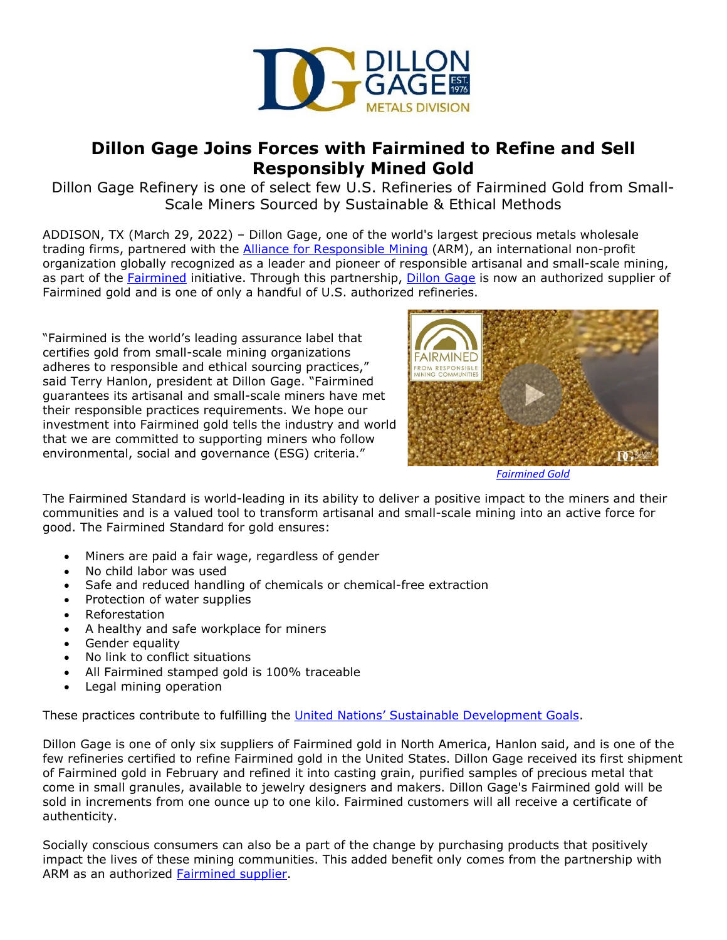

## **Dillon Gage Joins Forces with Fairmined to Refine and Sell Responsibly Mined Gold**

Dillon Gage Refinery is one of select few U.S. Refineries of Fairmined Gold from Small-Scale Miners Sourced by Sustainable & Ethical Methods

ADDISON, TX (March 29, 2022) – Dillon Gage, one of the world's largest precious metals wholesale trading firms, partnered with the Alliance for [Responsible Mining](https://www.responsiblemines.org/en/our-work/standards-and-certification/fairmined-standard/) (ARM), an international non-profit organization globally recognized as a leader and pioneer of responsible artisanal and small-scale mining, as part of the [Fairmined](http://fairmined.org/) initiative. Through this partnership, [Dillon Gage](https://dillongage.com/precious-metals-refining/?utm_source=dillon+gage+refinery+press+release&utm_medium=accesswire&utm_campaign=fairmined+partnership+announcement&utm_content=intro+link) is now an authorized supplier of Fairmined gold and is one of only a handful of U.S. authorized refineries.

"Fairmined is the world's leading assurance label that certifies gold from small-scale mining organizations adheres to responsible and ethical sourcing practices," said Terry Hanlon, president at Dillon Gage. "Fairmined guarantees its artisanal and small-scale miners have met their responsible practices requirements. We hope our investment into Fairmined gold tells the industry and world that we are committed to supporting miners who follow environmental, social and governance (ESG) criteria."



*[Fairmined Gold](https://www.youtube.com/watch?v=d4axZbhSDrg)*

The Fairmined Standard is world-leading in its ability to deliver a positive impact to the miners and their communities and is a valued tool to transform artisanal and small-scale mining into an active force for good. The Fairmined Standard for gold ensures:

- Miners are paid a fair wage, regardless of gender
- No child labor was used
- Safe and reduced handling of chemicals or chemical-free extraction
- Protection of water supplies
- Reforestation
- A healthy and safe workplace for miners
- Gender equality
- No link to conflict situations
- All Fairmined stamped gold is 100% traceable
- Legal mining operation

These practices contribute to fulfilling the United Nations' [Sustainable Development Goals.](https://www.undp.org/sustainable-development-goals)

Dillon Gage is one of only six suppliers of Fairmined gold in North America, Hanlon said, and is one of the few refineries certified to refine Fairmined gold in the United States. Dillon Gage received its first shipment of Fairmined gold in February and refined it into casting grain, purified samples of precious metal that come in small granules, available to jewelry designers and makers. Dillon Gage's Fairmined gold will be sold in increments from one ounce up to one kilo. Fairmined customers will all receive a certificate of authenticity.

Socially conscious consumers can also be a part of the change by purchasing products that positively impact the lives of these mining communities. This added benefit only comes from the partnership with ARM as an authorized [Fairmined supplier.](https://dillongage.com/precious-metals-trading/products/fairmined-gold/?utm_source=dillon%20gage%20refinery%20press%20release&utm_medium=accesswire&utm_campaign=fairminedpartnershipannouncement&utm_term=fairminedsupplier)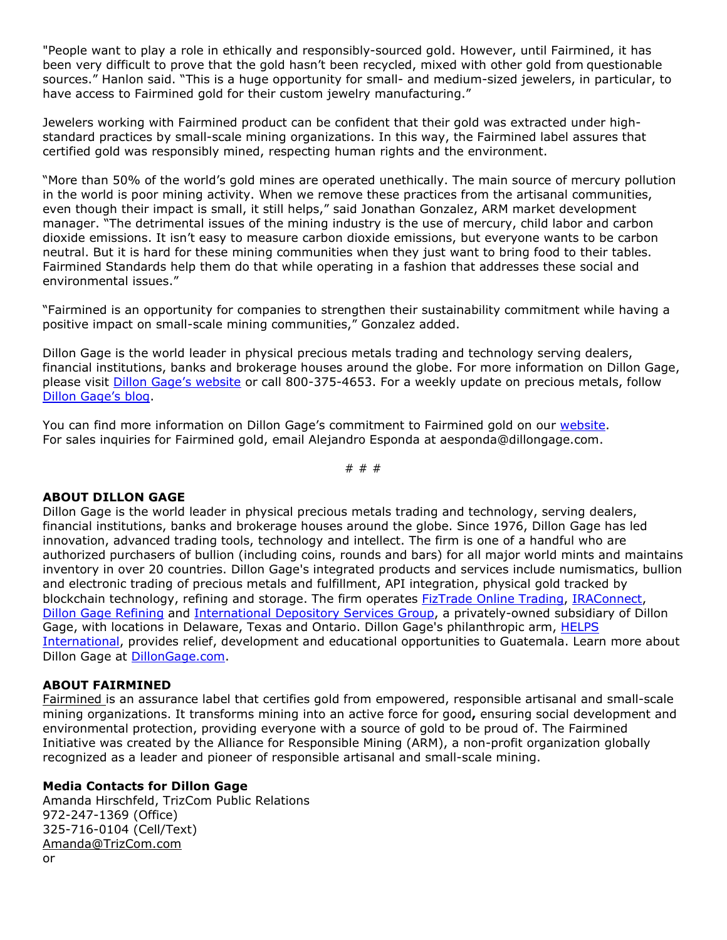"People want to play a role in ethically and responsibly-sourced gold. However, until Fairmined, it has been very difficult to prove that the gold hasn't been recycled, mixed with other gold from questionable sources." Hanlon said. "This is a huge opportunity for small- and medium-sized jewelers, in particular, to have access to Fairmined gold for their custom jewelry manufacturing."

Jewelers working with Fairmined product can be confident that their gold was extracted under highstandard practices by small-scale mining organizations. In this way, the Fairmined label assures that certified gold was responsibly mined, respecting human rights and the environment.

"More than 50% of the world's gold mines are operated unethically. The main source of mercury pollution in the world is poor mining activity. When we remove these practices from the artisanal communities, even though their impact is small, it still helps," said Jonathan Gonzalez, ARM market development manager. "The detrimental issues of the mining industry is the use of mercury, child labor and carbon dioxide emissions. It isn't easy to measure carbon dioxide emissions, but everyone wants to be carbon neutral. But it is hard for these mining communities when they just want to bring food to their tables. Fairmined Standards help them do that while operating in a fashion that addresses these social and environmental issues."

"Fairmined is an opportunity for companies to strengthen their sustainability commitment while having a positive impact on small-scale mining communities," Gonzalez added.

Dillon Gage is the world leader in physical precious metals trading and technology serving dealers, financial institutions, banks and brokerage houses around the globe. For more information on Dillon Gage, please visit [Dillon Gage's website](https://dillongage.com/about/?utm_source=dillon+gage+refinery+press+release&utm_medium=accesswire&utm_campaign=fairmined+partnership+announcement&utm_content=visit+dylan+gage+link) or call 800-375-4653. For a weekly update on precious metals, follow [Dillon Gage's blog.](https://dillongage.com/category/blog/?utm_source=dillon+gage+refinery+press+release&utm_medium=accesswire&utm_campaign=fairmined+partnership+announcement&utm_content=dylan+gage+blog)

You can find more information on Dillon Gage's commitment to Fairmined gold on our [website.](https://dillongage.com/precious-metals-trading/products/fairmined-gold/?utm_source=dillongagerefinerypressrelease&utm_medium=accesswire&utm_campaign=fairminedpartnershipannouncement&utm_term=website) For sales inquiries for Fairmined gold, email Alejandro Esponda at aesponda@dillongage.com.

# # #

## **ABOUT DILLON GAGE**

Dillon Gage is the world leader in physical precious metals trading and technology, serving dealers, financial institutions, banks and brokerage houses around the globe. Since 1976, Dillon Gage has led innovation, advanced trading tools, technology and intellect. The firm is one of a handful who are authorized purchasers of bullion (including coins, rounds and bars) for all major world mints and maintains inventory in over 20 countries. Dillon Gage's integrated products and services include numismatics, bullion and electronic trading of precious metals and fulfillment, API integration, physical gold tracked by blockchain technology, refining and storage. The firm operates [FizTrade Online Trading,](https://www.fiztrade.com/app/?utm_source=dillon+gage+refinery+press+release&utm_medium=accesswire&utm_campaign=fairmined+partnership+announcement&utm_content=fiztrade) [IRAConnect,](https://dillongage.com/technology/technology-products/ira-connect/?utm_source=dillon+gage+refinery+press+release&utm_medium=accesswire&utm_campaign=fairmined+partnership+announcement&utm_content=iraconnect) [Dillon Gage Refining](https://dillongage.com/precious-metals-refining/?utm_source=dillon+gage+refinery+press+release&utm_medium=accesswire&utm_campaign=fairmined+partnership+announcement&utm_content=precious+metals+refining) and [International Depository Services Group,](https://internationaldepositoryservices.com/?utm_source=dillon+gage+refinery+press+release&utm_medium=accesswire&utm_campaign=fairmined+partnership+announcement&utm_content=international+depository+services) a privately-owned subsidiary of Dillon Gage, with locations in Delaware, Texas and Ontario. Dillon Gage's philanthropic arm, HELPS [International,](https://www.helpsintl.org/?utm_source=dillon+gage+refinery+press+release&utm_medium=accesswire&utm_campaign=fairmined+partnership+announcement&utm_content=helps+international) provides relief, development and educational opportunities to Guatemala. Learn more about Dillon Gage at [DillonGage.com.](https://dillongage.com/about/?utm_source=dillon+gage+refinery+press+release&utm_medium=accesswire&utm_campaign=fairmined+partnership+announcement&utm_content=about+us)

## **ABOUT FAIRMINED**

[Fairmined](https://fairmined.org/what-is-fairmined/) is an assurance label that certifies gold from empowered, responsible artisanal and small-scale mining organizations. It transforms mining into an active force for good**,** ensuring social development and environmental protection, providing everyone with a source of gold to be proud of. The Fairmined Initiative was created by the Alliance for Responsible Mining (ARM), a non-profit organization globally recognized as a leader and pioneer of responsible artisanal and small-scale mining.

## **Media Contacts for Dillon Gage**

Amanda Hirschfeld, TrizCom Public Relations 972-247-1369 (Office) 325-716-0104 (Cell/Text) [Amanda@TrizCom.com](mailto:Amanda@TrizCom.com)  or